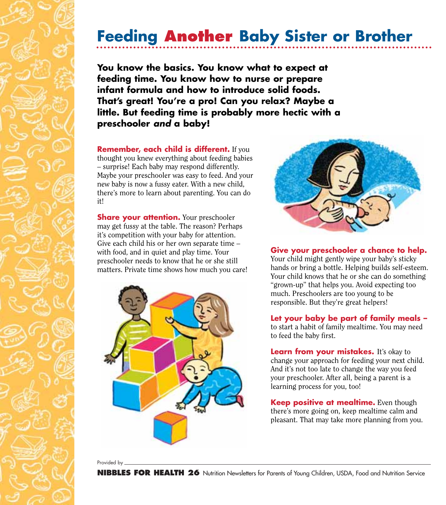## **Feeding Another Baby Sister or Brother**

**You know the basics. You know what to expect at feeding time. You know how to nurse or prepare infant formula and how to introduce solid foods. That's great! You're a pro! Can you relax? Maybe a little. But feeding time is probably more hectic with a preschooler** *and* **a baby!**

**Remember, each child is different.** If you thought you knew everything about feeding babies – surprise! Each baby may respond differently. Maybe your preschooler was easy to feed. And your new baby is now a fussy eater. With a new child, there's more to learn about parenting. You can do it!

**Share your attention.** Your preschooler may get fussy at the table. The reason? Perhaps it's competition with your baby for attention. Give each child his or her own separate time – with food, and in quiet and play time. Your preschooler needs to know that he or she still matters. Private time shows how much you care!





## **Give your preschooler a chance to help.**

Your child might gently wipe your baby's sticky hands or bring a bottle. Helping builds self-esteem. Your child knows that he or she can do something "grown-up" that helps you. Avoid expecting too much. Preschoolers are too young to be responsible. But they're great helpers!

## **Let your baby be part of family meals –**

to start a habit of family mealtime. You may need to feed the baby first.

**Learn from your mistakes.** It's okay to change your approach for feeding your next child. And it's not too late to change the way you feed your preschooler. After all, being a parent is a learning process for you, too!

**Keep positive at mealtime.** Even though there's more going on, keep mealtime calm and pleasant. That may take more planning from you.

Provided by